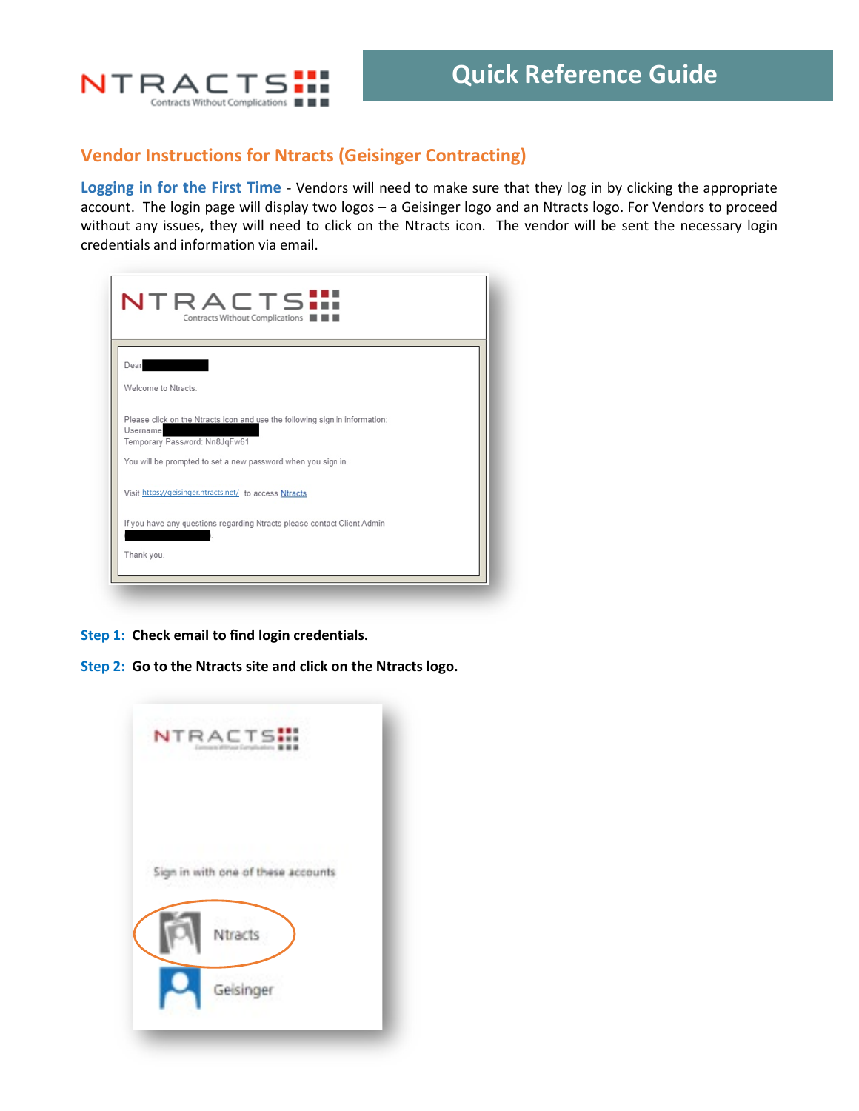

# **Vendor Instructions for Ntracts (Geisinger Contracting)**

**Logging in for the First Time** - Vendors will need to make sure that they log in by clicking the appropriate account. The login page will display two logos – a Geisinger logo and an Ntracts logo. For Vendors to proceed without any issues, they will need to click on the Ntracts icon. The vendor will be sent the necessary login credentials and information via email.

| NTRACTS <b></b><br>Contracts Without Complications                                                                       |  |
|--------------------------------------------------------------------------------------------------------------------------|--|
| Dear<br><u>and the second second second</u>                                                                              |  |
| Welcome to Ntracts                                                                                                       |  |
| Please click on the Ntracts icon and use the following sign in information:<br>Username<br>Temporary Password: Nn8JqFw61 |  |
| You will be prompted to set a new password when you sign in.                                                             |  |
| Visit https://geisinger.ntracts.net/ to access Ntracts                                                                   |  |
| If you have any questions regarding Ntracts please contact Client Admin                                                  |  |
| Thank you.                                                                                                               |  |
|                                                                                                                          |  |

**Step 1: Check email to find login credentials.**

**Step 2: Go to the Ntracts site and click on the Ntracts logo.**

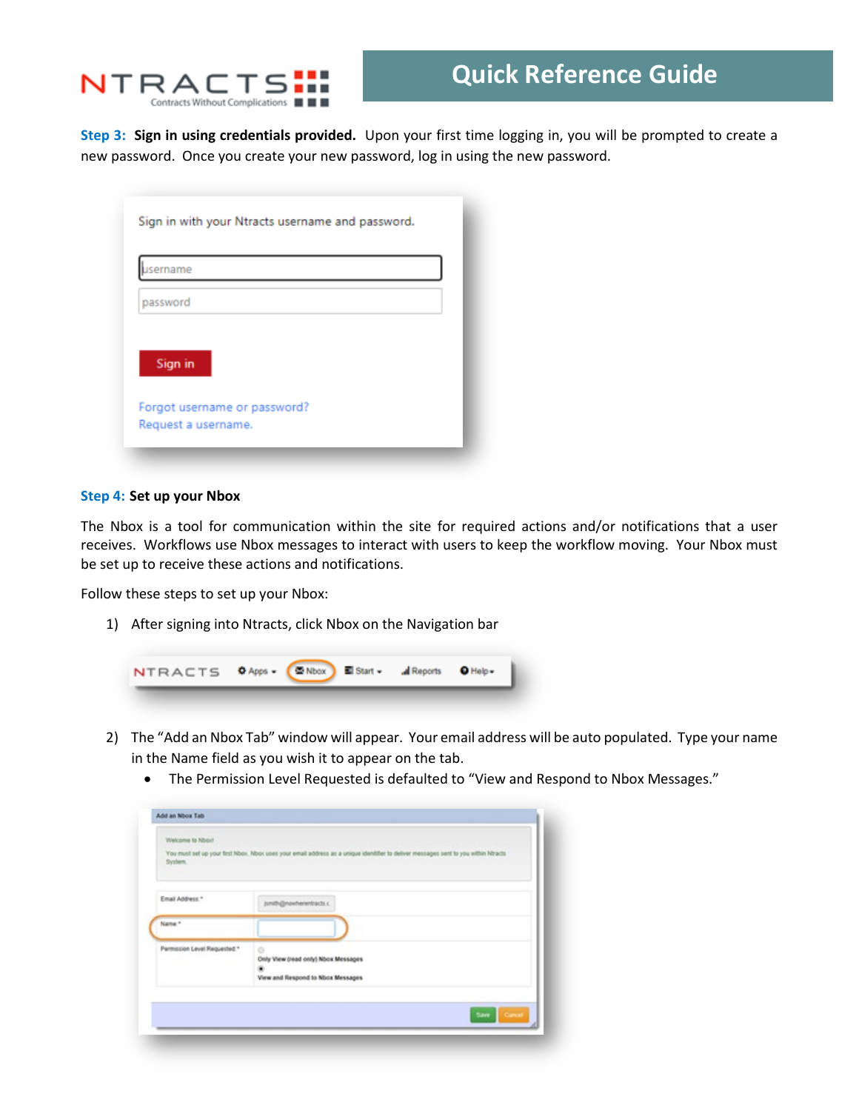

**Step 3: Sign in using credentials provided.** Upon your first time logging in, you will be prompted to create a new password. Once you create your new password, log in using the new password.

| <i>sername</i>               |  |
|------------------------------|--|
| password                     |  |
|                              |  |
| Sign in                      |  |
| Forgot username or password? |  |
| Request a username.          |  |

#### **Step 4: Set up your Nbox**

The Nbox is a tool for communication within the site for required actions and/or notifications that a user receives. Workflows use Nbox messages to interact with users to keep the workflow moving. Your Nbox must be set up to receive these actions and notifications.

Follow these steps to set up your Nbox:

1) After signing into Ntracts, click Nbox on the Navigation bar



- 2) The "Add an Nbox Tab" window will appear. Your email address will be auto populated. Type your name in the Name field as you wish it to appear on the tab.
	- The Permission Level Requested is defaulted to "View and Respond to Nbox Messages."

| System.                      | You must set up your trst Nbox. Nbox uses your email address as a unique identifier to deliver messages sent to you within Ntracts |
|------------------------------|------------------------------------------------------------------------------------------------------------------------------------|
| Email Address."              | jsmith@nowherentracts.c                                                                                                            |
| Name*                        |                                                                                                                                    |
| Permission Level Requested.* | o<br>Only View (read only) Noox Messages<br>View and Respond to Nbox Messages                                                      |
|                              | Save.<br><b>Concert</b>                                                                                                            |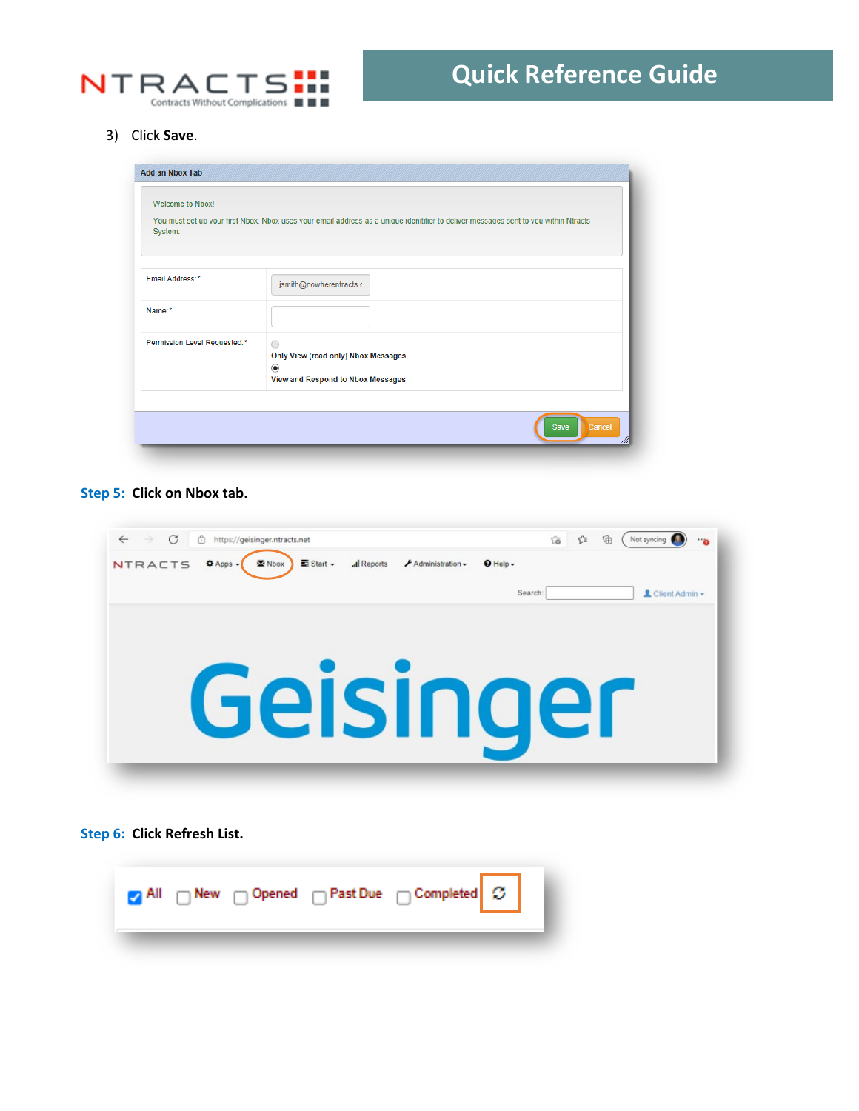

3) Click **Save**.

| You must set up your first Nbox. Nbox uses your email address as a unique idenitifier to deliver messages sent to you within Ntracts<br>System.<br>jsmith@nowherentracts.c<br>$\bigcirc$<br>Only View (read only) Nbox Messages | Welcome to Nbox!             |  |
|---------------------------------------------------------------------------------------------------------------------------------------------------------------------------------------------------------------------------------|------------------------------|--|
| Email Address:*                                                                                                                                                                                                                 |                              |  |
|                                                                                                                                                                                                                                 |                              |  |
|                                                                                                                                                                                                                                 | Name:*                       |  |
| $^{\circ}$<br>View and Respond to Nbox Messages                                                                                                                                                                                 | Permission Level Requested:* |  |

### **Step 5: Click on Nbox tab.**

| C<br>$\leftarrow$<br>Ĥ<br>$\rightarrow$<br>https://geisinger.ntracts.net<br>all Reports<br>NTRACTS <sup>O</sup> Apps -<br>$\equiv$ Start $\sim$<br>$\bigtriangledown$ Administration $\bigtriangledown$<br>图 Nbox | ₲<br>ど<br>ΰò<br>Not syncing<br><b></b><br>$Q$ Help $\sim$ |
|-------------------------------------------------------------------------------------------------------------------------------------------------------------------------------------------------------------------|-----------------------------------------------------------|
|                                                                                                                                                                                                                   | L Client Admin -<br>Search:                               |
|                                                                                                                                                                                                                   |                                                           |
|                                                                                                                                                                                                                   |                                                           |
| Geisinger                                                                                                                                                                                                         |                                                           |
|                                                                                                                                                                                                                   |                                                           |
|                                                                                                                                                                                                                   |                                                           |

# **Step 6: Click Refresh List.**

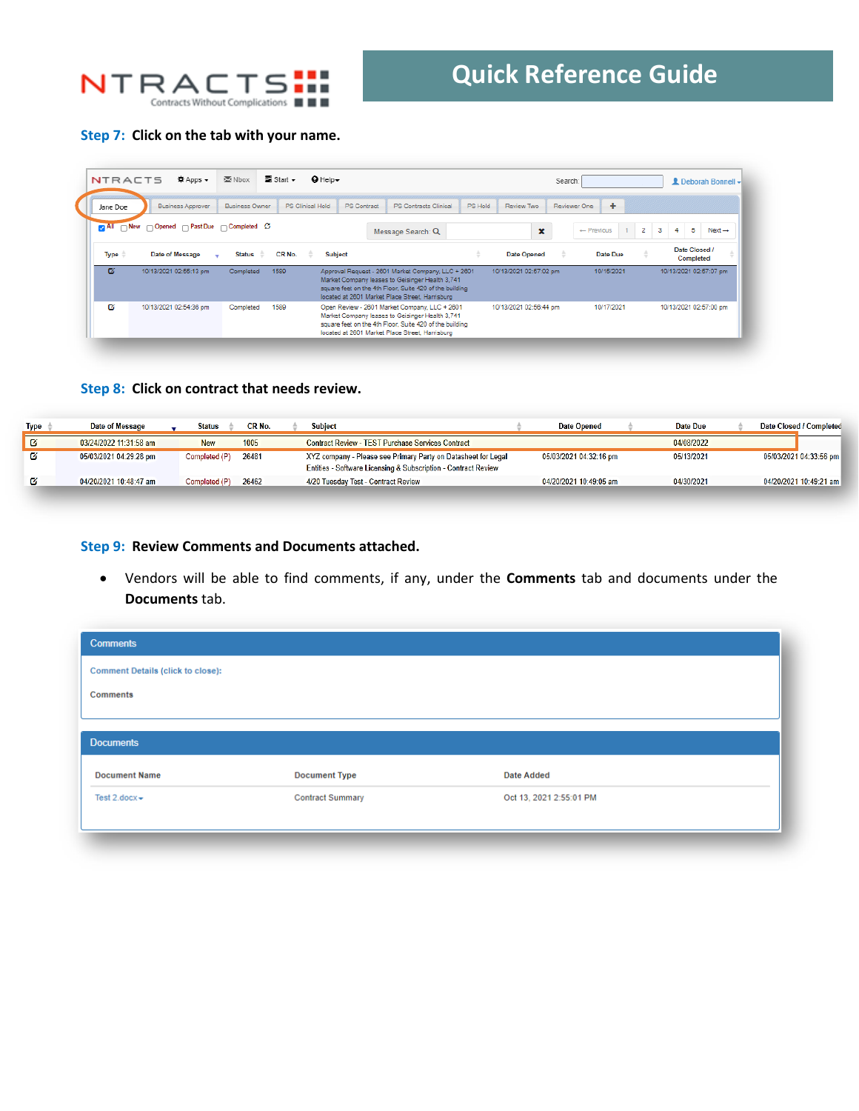

## **Step 7: Click on the tab with your name.**

| $\equiv$ Start $\sim$<br>Nbox<br>$Q$ Help $\sim$<br>章 Apps →<br>NTRACTS<br>Search:<br><b>2</b> Deborah Bonnell -<br>٠<br>PS Clinical Hold<br><b>PS</b> Contract<br>PS Hold<br>Review Two<br>Reviewer One<br>Business Approver<br><b>Business Owner</b><br>PS Contracts Clinical<br>Jane Doe<br>$\Box$ New $\Box$ Opened $\Box$ Past Due $\Box$ Completed $\Im$<br>$\blacksquare$ All<br>$\overline{2}$<br>5<br>з<br>$\leftarrow$ Previous<br>1.<br>Next $\rightarrow$<br>$\mathbf x$<br>4<br>Message Search: Q<br>Date Closed /<br>Type<br>CR No.<br>Date of Message<br><b>Subject</b><br>Date Due<br><b>Status</b><br><b>Date Opened</b><br>$\frac{1}{2}$<br>Completed<br>ø<br>10/13/2021 02:55:13 pm<br>1589<br>10/15/2021<br>10/13/2021 02:57:07 pm<br>Completed<br>Approval Request - 2601 Market Company, LLC + 2601<br>10/13/2021 02:57:02 pm<br>Market Company leases to Geisinger Health 3,741<br>square feet on the 4th Floor, Suite 420 of the building<br>located at 2601 Market Place Street, Harrisburg<br>Ø<br>1589<br>10/17/2021<br>10/13/2021 02:54:36 pm<br>Open Review - 2601 Market Company, LLC + 2601<br>10/13/2021 02:56:44 pm<br>10/13/2021 02:57:00 pm<br>Completed<br>Market Company leases to Geisinger Health 3,741 |  |  |  |                                                                                                            |  |  |  |  |  |  |
|------------------------------------------------------------------------------------------------------------------------------------------------------------------------------------------------------------------------------------------------------------------------------------------------------------------------------------------------------------------------------------------------------------------------------------------------------------------------------------------------------------------------------------------------------------------------------------------------------------------------------------------------------------------------------------------------------------------------------------------------------------------------------------------------------------------------------------------------------------------------------------------------------------------------------------------------------------------------------------------------------------------------------------------------------------------------------------------------------------------------------------------------------------------------------------------------------------------------------------------------|--|--|--|------------------------------------------------------------------------------------------------------------|--|--|--|--|--|--|
|                                                                                                                                                                                                                                                                                                                                                                                                                                                                                                                                                                                                                                                                                                                                                                                                                                                                                                                                                                                                                                                                                                                                                                                                                                                |  |  |  |                                                                                                            |  |  |  |  |  |  |
|                                                                                                                                                                                                                                                                                                                                                                                                                                                                                                                                                                                                                                                                                                                                                                                                                                                                                                                                                                                                                                                                                                                                                                                                                                                |  |  |  |                                                                                                            |  |  |  |  |  |  |
|                                                                                                                                                                                                                                                                                                                                                                                                                                                                                                                                                                                                                                                                                                                                                                                                                                                                                                                                                                                                                                                                                                                                                                                                                                                |  |  |  |                                                                                                            |  |  |  |  |  |  |
|                                                                                                                                                                                                                                                                                                                                                                                                                                                                                                                                                                                                                                                                                                                                                                                                                                                                                                                                                                                                                                                                                                                                                                                                                                                |  |  |  |                                                                                                            |  |  |  |  |  |  |
|                                                                                                                                                                                                                                                                                                                                                                                                                                                                                                                                                                                                                                                                                                                                                                                                                                                                                                                                                                                                                                                                                                                                                                                                                                                |  |  |  | square feet on the 4th Floor, Suite 420 of the building<br>located at 2601 Market Place Street, Harrisburg |  |  |  |  |  |  |

### **Step 8: Click on contract that needs review.**

| <b>Type</b> | Date of Message        | <b>Status</b> | CR No. | <b>Subject</b> |                                                                                                                                 | Date Opened            | Date Due   | Date Closed / Completed |
|-------------|------------------------|---------------|--------|----------------|---------------------------------------------------------------------------------------------------------------------------------|------------------------|------------|-------------------------|
| ø           | 03/24/2022 11:31:58 am | <b>New</b>    | 1005   |                | <b>Contract Review - TEST Purchase Services Contract</b>                                                                        |                        | 04/08/2022 |                         |
|             | 05/03/2021 04:29:28 pm | Completed (P) | 26481  |                | XYZ company - Please see Primary Party on Datasheet for Legal<br>Entities - Software Licensing & Subscription - Contract Review | 05/03/2021 04:32:16 pm | 05/13/2021 | 05/03/2021 04:33:56 pm  |
|             | 04/20/2021 10:48:47 am | Completed (P) | 26462  |                | 4/20 Tuesday Test - Contract Review                                                                                             | 04/20/2021 10:49:05 am | 04/30/2021 | 04/20/2021 10:49:21 am  |

### **Step 9: Review Comments and Documents attached.**

• Vendors will be able to find comments, if any, under the **Comments** tab and documents under the **Documents** tab.

| <b>Comments</b>                   |                         |                         |  |
|-----------------------------------|-------------------------|-------------------------|--|
| Comment Details (click to close): |                         |                         |  |
| Comments                          |                         |                         |  |
|                                   |                         |                         |  |
| <b>Documents</b>                  |                         |                         |  |
| <b>Document Name</b>              | <b>Document Type</b>    | <b>Date Added</b>       |  |
| Test $2.docx \rightarrow$         | <b>Contract Summary</b> | Oct 13, 2021 2:55:01 PM |  |
|                                   |                         |                         |  |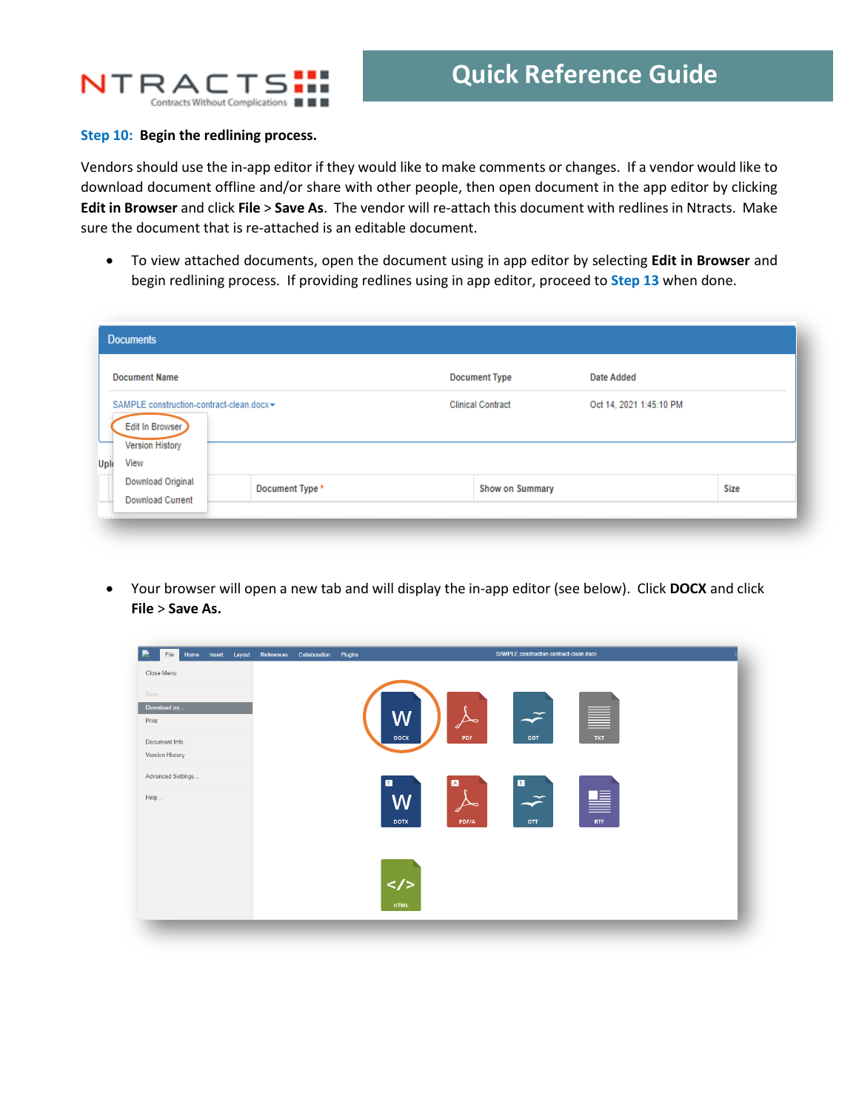

#### **Step 10: Begin the redlining process.**

Vendors should use the in-app editor if they would like to make comments or changes. If a vendor would like to download document offline and/or share with other people, then open document in the app editor by clicking **Edit in Browser** and click **File** > **Save As**. The vendor will re-attach this document with redlines in Ntracts. Make sure the document that is re-attached is an editable document.

• To view attached documents, open the document using in app editor by selecting **Edit in Browser** and begin redlining process. If providing redlines using in app editor, proceed to **Step 13** when done.

| <b>Documents</b>                                                                                      |                 |                          |                         |      |
|-------------------------------------------------------------------------------------------------------|-----------------|--------------------------|-------------------------|------|
| <b>Document Name</b>                                                                                  |                 | <b>Document Type</b>     | Date Added              |      |
| SAMPLE construction-contract-clean.docx ▼<br>Edit In Browser<br><b>Version History</b><br>View<br>Upk |                 | <b>Clinical Contract</b> | Oct 14, 2021 1:45:10 PM |      |
| Download Original<br><b>Download Current</b>                                                          | Document Type * | <b>Show on Summary</b>   |                         | Size |

• Your browser will open a new tab and will display the in-app editor (see below). Click **DOCX** and click **File** > **Save As.**

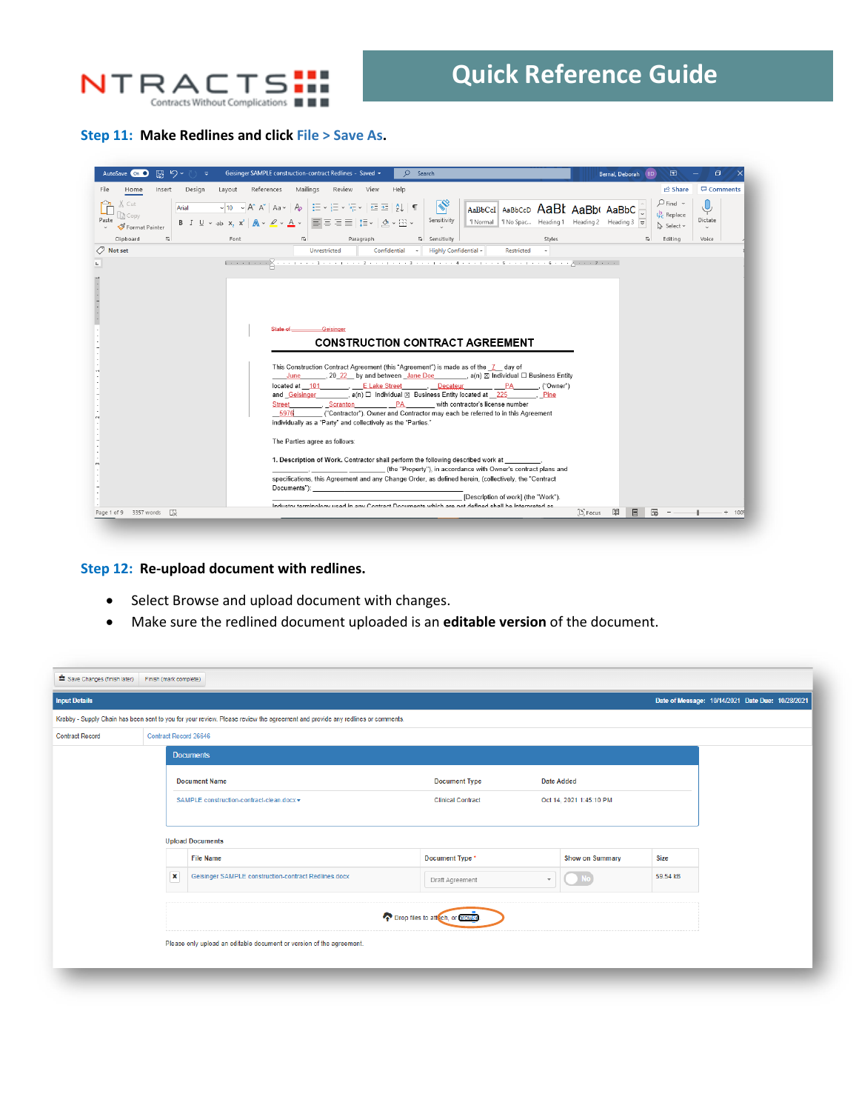

#### **Step 11: Make Redlines and click File > Save As.**

| 隔 り・<br>AutoSave On O                   | Geisinger SAMPLE construction-contract Redlines - Saved +<br>$\circ$<br>Search                                                                                                                                                                                                                                                                                                                                                                                                                                                                                                                                                                                                                                                                                                   | 困<br>Bernal, Deborah<br><b>BD</b>                  | ο                          |
|-----------------------------------------|----------------------------------------------------------------------------------------------------------------------------------------------------------------------------------------------------------------------------------------------------------------------------------------------------------------------------------------------------------------------------------------------------------------------------------------------------------------------------------------------------------------------------------------------------------------------------------------------------------------------------------------------------------------------------------------------------------------------------------------------------------------------------------|----------------------------------------------------|----------------------------|
| Insert<br>Design<br>File<br>Home        | Mailings<br>References<br>Help<br>Layout<br>Review<br>View                                                                                                                                                                                                                                                                                                                                                                                                                                                                                                                                                                                                                                                                                                                       | <b>B</b> Share                                     | $\Box$ Comments            |
| Cut<br>Arial<br>Paste<br>Format Painter | $  \cdot \rangle$<br>$\overline{\downarrow}$ 10 $\overline{\downarrow}$ $\overline{\uparrow}$ $\overline{\uparrow}$ $\overline{\uparrow}$ $\overline{\uparrow}$ $\overline{\uparrow}$ $\overline{\downarrow}$ $\overline{\downarrow}$ $\overline{\downarrow}$ $\overline{\downarrow}$ $\overline{\downarrow}$ $\overline{\downarrow}$ $\overline{\downarrow}$ $\overline{\downarrow}$ $\overline{\downarrow}$ $\overline{\downarrow}$ $\overline{\downarrow}$ $\overline{\downarrow}$ $\overline{\downarrow}$ $\overline{\downarrow}$ $\overline{\downarrow}$<br>AaBbCcI AaBbCcD AaBt AaBb( AaBbC<br>B <i>I</i> U <sub>Y</sub> ab x, x <sup>2</sup>   A y <i>A</i> y A y   冒喜喜喜  挂v   タ y ⊞ y<br>Sensitivity<br>1 Normal   1 No Spac Heading 1 Heading 2 Heading 3               | $Q$ Find $\sim$<br>$\zeta_c^b$ Replace<br>Select v | ⋓<br>Dictate<br>$_{\rm v}$ |
| $\overline{u}$<br>Clipboard             | Paragraph<br>Sensitivity<br>Styles<br>Font<br>$\overline{12}$                                                                                                                                                                                                                                                                                                                                                                                                                                                                                                                                                                                                                                                                                                                    | Editing<br>$\overline{\mathbf{w}}$                 | Voice                      |
| <b>O</b> Not set                        | Confidential + Highly Confidential +<br>Unrestricted<br>Restricted                                                                                                                                                                                                                                                                                                                                                                                                                                                                                                                                                                                                                                                                                                               |                                                    |                            |
|                                         |                                                                                                                                                                                                                                                                                                                                                                                                                                                                                                                                                                                                                                                                                                                                                                                  |                                                    |                            |
|                                         |                                                                                                                                                                                                                                                                                                                                                                                                                                                                                                                                                                                                                                                                                                                                                                                  |                                                    |                            |
|                                         |                                                                                                                                                                                                                                                                                                                                                                                                                                                                                                                                                                                                                                                                                                                                                                                  |                                                    |                            |
|                                         |                                                                                                                                                                                                                                                                                                                                                                                                                                                                                                                                                                                                                                                                                                                                                                                  |                                                    |                            |
|                                         |                                                                                                                                                                                                                                                                                                                                                                                                                                                                                                                                                                                                                                                                                                                                                                                  |                                                    |                            |
|                                         |                                                                                                                                                                                                                                                                                                                                                                                                                                                                                                                                                                                                                                                                                                                                                                                  |                                                    |                            |
|                                         | Arata of<br>-Geisinger                                                                                                                                                                                                                                                                                                                                                                                                                                                                                                                                                                                                                                                                                                                                                           |                                                    |                            |
|                                         | <b>CONSTRUCTION CONTRACT AGREEMENT</b>                                                                                                                                                                                                                                                                                                                                                                                                                                                                                                                                                                                                                                                                                                                                           |                                                    |                            |
|                                         |                                                                                                                                                                                                                                                                                                                                                                                                                                                                                                                                                                                                                                                                                                                                                                                  |                                                    |                            |
|                                         | This Construction Contract Agreement (this "Agreement") is made as of the 7 day of<br>$June$ , 20 22 by and between $Jane Doe$ , a(n) $\boxtimes$ Individual $\Box$ Business Entity<br>located at 101 C Lake Street Decateur PA ("Owner")<br>and Geisinger and $(a \cap \Box)$ and and $(a \Box)$ and $(a \Box)$ and $(a \Box)$ and $(a \Box)$ and $(a \Box)$ and $(a \Box)$ and $(a \Box)$ and $(a \Box)$ and $(a \Box)$ and $(a \Box)$ and $(a \Box)$ and $(a \Box)$ and $(a \Box)$ and $(a \Box)$ and $(a \Box)$ and $(a \Box)$ and $(a \Box)$ and<br>Scranton PA with contractor's license number<br><b>Street</b><br>("Contractor"). Owner and Contractor may each be referred to in this Agreement<br>5976<br>individually as a "Party" and collectively as the "Parties." |                                                    |                            |
|                                         | The Parties agree as follows:                                                                                                                                                                                                                                                                                                                                                                                                                                                                                                                                                                                                                                                                                                                                                    |                                                    |                            |
|                                         | 1. Description of Work. Contractor shall perform the following described work at<br>(the "Property"), in accordance with Owner's contract plans and                                                                                                                                                                                                                                                                                                                                                                                                                                                                                                                                                                                                                              |                                                    |                            |
|                                         | specifications, this Agreement and any Change Order, as defined herein, (collectively, the "Contract<br>Documents"):                                                                                                                                                                                                                                                                                                                                                                                                                                                                                                                                                                                                                                                             |                                                    |                            |
|                                         | [Description of work] (the "Work").                                                                                                                                                                                                                                                                                                                                                                                                                                                                                                                                                                                                                                                                                                                                              |                                                    |                            |
|                                         | Industry terminology used in any Contract Documents which are not defined shall be interpreted as<br>$[$ $]$ Focus                                                                                                                                                                                                                                                                                                                                                                                                                                                                                                                                                                                                                                                               | 願<br>圓<br>屬                                        |                            |
| Page 1 of 9 3357 words<br>ΓIJ           |                                                                                                                                                                                                                                                                                                                                                                                                                                                                                                                                                                                                                                                                                                                                                                                  |                                                    | 1009                       |

### **Step 12: Re-upload document with redlines.**

- Select Browse and upload document with changes.
- Make sure the redlined document uploaded is an **editable version** of the document.

| Save Changes (finish later) | Finish (mark complete)       |                                                                                                                                      |                                           |                   |                         |          |                                                  |  |
|-----------------------------|------------------------------|--------------------------------------------------------------------------------------------------------------------------------------|-------------------------------------------|-------------------|-------------------------|----------|--------------------------------------------------|--|
| <b>Input Details</b>        |                              |                                                                                                                                      |                                           |                   |                         |          | Date of Message: 10/14/2021 Date Due: 10/28/2021 |  |
|                             |                              | Krabby - Supply Chain has been sent to you for your review. Please review the agreement and provide any redlines or comments.        |                                           |                   |                         |          |                                                  |  |
| <b>Contract Record</b>      | <b>Contract Record 26646</b> |                                                                                                                                      |                                           |                   |                         |          |                                                  |  |
|                             |                              | <b>Documents</b>                                                                                                                     |                                           |                   |                         |          |                                                  |  |
|                             |                              | <b>Document Name</b>                                                                                                                 | <b>Document Type</b>                      | <b>Date Added</b> |                         |          |                                                  |  |
|                             |                              |                                                                                                                                      | <b>Clinical Contract</b>                  |                   | Oct 14, 2021 1:45:10 PM |          |                                                  |  |
| <b>Upload Documents</b>     |                              |                                                                                                                                      |                                           |                   |                         |          |                                                  |  |
|                             |                              | SAMPLE construction-contract-clean.docx -<br><b>File Name</b><br>$\mathbf x$<br>Geisinger SAMPLE construction-contract Redlines.docx | Document Type *<br><b>Show on Summary</b> |                   |                         | Size     |                                                  |  |
|                             |                              |                                                                                                                                      | Draft Agreement                           |                   |                         | 59.54 kB |                                                  |  |
|                             |                              |                                                                                                                                      | Drop files to att ch, or provise.         |                   |                         |          |                                                  |  |
|                             |                              | Please only upload an editable document or version of the agreement.                                                                 |                                           |                   |                         |          |                                                  |  |